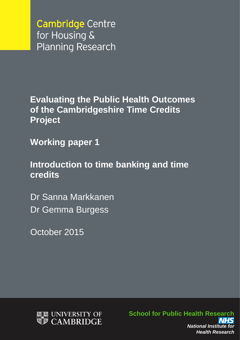**Cambridge Centre** for Housing & **Planning Research** 

**Evaluating the Public Health Outcomes of the Cambridgeshire Time Credits Project**

**Working paper 1**

**Introduction to time banking and time credits**

Dr Sanna Markkanen Dr Gemma Burgess

October 2015



**School for Public Health Research** *National Institute for Health Research*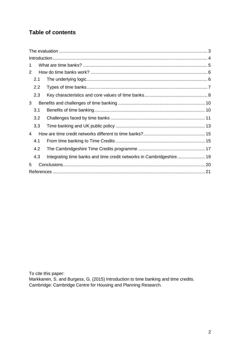# **Table of contents**

| 1 |     |                                                                      |  |  |
|---|-----|----------------------------------------------------------------------|--|--|
| 2 |     |                                                                      |  |  |
|   | 2.1 |                                                                      |  |  |
|   | 2.2 |                                                                      |  |  |
|   | 2.3 |                                                                      |  |  |
| 3 |     |                                                                      |  |  |
|   | 3.1 |                                                                      |  |  |
|   | 3.2 |                                                                      |  |  |
|   | 3.3 |                                                                      |  |  |
| 4 |     |                                                                      |  |  |
|   | 4.1 |                                                                      |  |  |
|   | 4.2 |                                                                      |  |  |
|   | 4.3 | Integrating time banks and time credit networks in Cambridgeshire 19 |  |  |
| 5 |     |                                                                      |  |  |
|   |     |                                                                      |  |  |

To cite this paper:

Markkanen, S. and Burgess, G. (2015) Introduction to time banking and time credits. Cambridge: Cambridge Centre for Housing and Planning Research.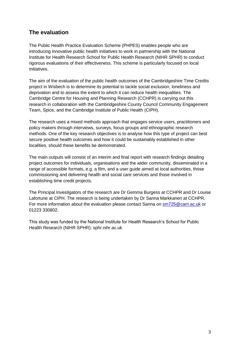## <span id="page-2-0"></span>**The evaluation**

The Public Health Practice Evaluation Scheme (PHPES) enables people who are introducing innovative public health initiatives to work in partnership with the National Institute for Health Research School for Public Health Research (NIHR SPHR) to conduct rigorous evaluations of their effectiveness. This scheme is particularly focused on local initiatives.

The aim of the evaluation of the public health outcomes of the Cambridgeshire Time Credits project in Wisbech is to determine its potential to tackle social exclusion, loneliness and deprivation and to assess the extent to which it can reduce health inequalities. The Cambridge Centre for Housing and Planning Research (CCHPR) is carrying out this research in collaboration with the Cambridgeshire County Council Community Engagement Team, Spice, and the Cambridge Institute of Public Health (CIPH).

The research uses a mixed methods approach that engages service users, practitioners and policy makers through interviews, surveys, focus groups and ethnographic research methods. One of the key research objectives is to analyse how this type of project can best secure positive health outcomes and how it could be sustainably established in other localities, should these benefits be demonstrated.

The main outputs will consist of an interim and final report with research findings detailing project outcomes for individuals, organisations and the wider community, disseminated in a range of accessible formats, e.g. a film, and a user guide aimed at local authorities, those commissioning and delivering health and social care services and those involved in establishing time credit projects.

The Principal Investigators of the research are Dr Gemma Burgess at CCHPR and Dr Louise Lafortune at CIPH. The research is being undertaken by Dr Sanna Markkanen at CCHPR. For more information about the evaluation please contact Sanna on [sm725@cam.ac.uk](mailto:sm725@cam.ac.uk) or 01223 330802.

This study was funded by the National Institute for Health Research's School for Public Health Research (NIHR SPHR): sphr.nihr.ac.uk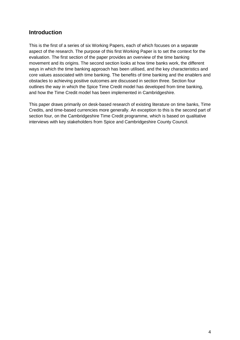## <span id="page-3-0"></span>**Introduction**

This is the first of a series of six Working Papers, each of which focuses on a separate aspect of the research. The purpose of this first Working Paper is to set the context for the evaluation. The first section of the paper provides an overview of the time banking movement and its origins. The second section looks at how time banks work, the different ways in which the time banking approach has been utilised, and the key characteristics and core values associated with time banking. The benefits of time banking and the enablers and obstacles to achieving positive outcomes are discussed in section three. Section four outlines the way in which the Spice Time Credit model has developed from time banking, and how the Time Credit model has been implemented in Cambridgeshire.

This paper draws primarily on desk-based research of existing literature on time banks, Time Credits, and time-based currencies more generally. An exception to this is the second part of section four, on the Cambridgeshire Time Credit programme, which is based on qualitative interviews with key stakeholders from Spice and Cambridgeshire County Council.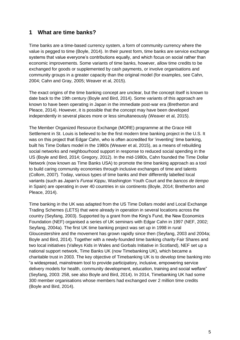### <span id="page-4-0"></span>**1 What are time banks?**

Time banks are a time-based currency system, a form of community currency where the value is pegged to time (Boyle, 2014). In their purest form, time banks are service exchange systems that value everyone's contributions equally, and which focus on social rather than economic improvements. Some variants of time banks, however, allow time credits to be exchanged for goods or supplemented by cash payments, or involve organisations and community groups in a greater capacity than the original model (for examples, see Cahn, 2004; Cahn and Gray, 2005; Weaver et al, 2015).

The exact origins of the time banking concept are unclear, but the concept itself is known to date back to the 19th century (Boyle and Bird, 2014). Some variants of this approach are known to have been operating in Japan in the immediate post-war era (Bretherton and Pleace, 2014). However, it is possible that the concept may have been developed independently in several places more or less simultaneously (Weaver et al, 2015).

The Member Organized Resource Exchange (MORE) programme at the Grace Hill Settlement in St. Louis is believed to be the first modern time banking project in the U.S. It was on this project that Edgar Cahn, who is often accredited for 'inventing' time banking, built his Time Dollars model in the 1980s (Weaver et al, 2015), as a means of rebuilding social networks and neighbourhood support in response to reduced social spending in the US (Boyle and Bird, 2014; Gregory, 2012). In the mid-1980s, Cahn founded the Time Dollar Network (now known as Time Banks USA) to promote the time banking approach as a tool to build caring community economies through inclusive exchanges of time and talents (Collom, 2007). Today, various types of time banks and their differently labelled local variants (such as Japan's *Fureai Kippu*, Washington Youth Court and the *bancos de tiempo* in Spain) are operating in over 40 countries in six continents (Boyle, 2014; Bretherton and Pleace, 2014).

Time banking in the UK was adapted from the US Time Dollars model and Local Exchange Trading Schemes (LETS) that were already in operation in several locations across the country (Seyfang, 2003). Supported by a grant from the King's Fund, the New Economics Foundation (NEF) organised a series of UK seminars with Edgar Cahn in 1997 (NEF, 2002; Seyfang, 2004a). The first UK time banking project was set up in 1998 in rural Gloucestershire and the movement has grown rapidly since then (Seyfang, 2003 and 2004a; Boyle and Bird, 2014). Together with a newly-founded time banking charity Fair Shares and two local initiatives (Valleys Kids in Wales and Gorbals Initiative in Scotland), NEF set up a national support network, Time Banks UK (now Timebanking UK), which became a charitable trust in 2003. The key objective of Timebanking UK is to develop time banking into "a widespread, mainstream tool to provide participatory, inclusive, empowering service delivery models for health, community development, education, training and social welfare" (Seyfang, 2003: 258, see also Boyle and Bird, 2014). In 2014, Timebanking UK had some 300 member organisations whose members had exchanged over 2 million time credits (Boyle and Bird, 2014).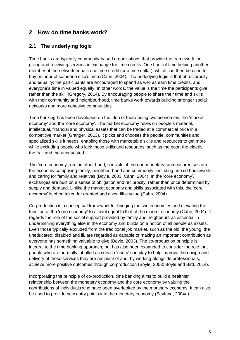## <span id="page-5-0"></span>**2 How do time banks work?**

#### <span id="page-5-1"></span>**2.1 The underlying logic**

Time banks are typically community-based organisations that provide the framework for giving and receiving services in exchange for time credits. One hour of time helping another member of the network equals one time credit (or a time dollar), which can then be used to buy an hour of someone else's time (Cahn, 2004). The underlying logic is that of reciprocity and equality: the participants are encouraged to spend as well as earn time credits, and everyone's time in valued equally. In other words, the value is the time the participants give rather than the skill (Gregory, 2014). By encouraging people to share their time and skills with their community and neighbourhood, time banks work towards building stronger social networks and more cohesive communities.

Time banking has been developed on the idea of there being two economies: the 'market economy' and the 'core economy'. The market economy relies on people's material, intellectual, financial and physical assets that can be traded at a commercial price in a competitive market (Granger, 2013). It picks and chooses the people, communities and specialized skills it needs, enabling those with marketable skills and resources to get more while excluding people who lack these skills and resources, such as the poor, the elderly, the frail and the uneducated.

The 'core economy', on the other hand, consists of the non-monetary, unmeasured sector of the economy comprising family, neighbourhood and community, including unpaid housework and caring for family and relatives (Boyle, 2003; Cahn, 2004). In the 'core economy', exchanges are built on a sense of obligation and reciprocity, rather than price determined by supply and demand. Unlike the market economy and skills associated with this, the 'core economy' is often taken for granted and given little value (Cahn, 2004).

Co-production is a conceptual framework for bridging the two economies and elevating the function of the 'core economy' to a level equal to that of the market economy (Cahn, 2004). It regards the role of the social support provided by family and neighbours as essential in underpinning everything else in the economy and builds on a notion of all people as assets. Even those typically excluded from the traditional job market, such as the old, the young, the uneducated, disabled and ill, are regarded as capable of making an important contribution as everyone has something valuable to give (Boyle, 2003). The co-production principle is integral to the time banking approach, but has also been expanded to consider the role that people who are normally labelled as service 'users' can play to help improve the design and delivery of those services they are recipient of and, by working alongside professionals, achieve more positive outcomes through co-production (Boyle, 2003; Boyle and Bird, 2014).

Incorporating the principle of co-production, time banking aims to build a healthier relationship between the monetary economy and the core economy by valuing the contributions of individuals who have been overlooked by the monetary economy. It can also be used to provide new entry points into the monetary economy (Seyfang, 2004a).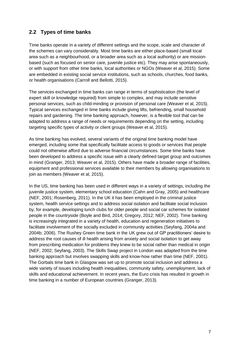#### <span id="page-6-0"></span>**2.2 Types of time banks**

Time banks operate in a variety of different settings and the scope, scale and character of the schemes can vary considerably. Most time banks are either place-based (small local area such as a neighbourhood, or a broader area such as a local authority) or are missionbased (such as focused on senior care, juvenile justice etc). They may arise spontaneously, or with support from other time banks, local authorities or NGOs (Weaver et al, 2015). Some are embedded in existing social service institutions, such as schools, churches, food banks, or health organisations (Carroll and Bellotti, 2015).

The services exchanged in time banks can range in terms of sophistication (the level of expert skill or knowledge required) from simple to complex, and may include sensitive personal services, such as child-minding or provision of personal care (Weaver et al, 2015). Typical services exchanged in time banks include giving lifts, befriending, small household repairs and gardening. The time banking approach, however, is a flexible tool that can be adapted to address a range of needs or requirements depending on the setting, including targeting specific types of activity or client groups (Weaver et al, 2015).

As time banking has evolved, several variants of the original time banking model have emerged, including some that specifically facilitate access to goods or services that people could not otherwise afford due to adverse financial circumstances. Some time banks have been developed to address a specific issue with a clearly defined target group and outcomes in mind (Granger, 2013; Weaver et al, 2015). Others have made a broader range of facilities, equipment and professional services available to their members by allowing organisations to join as members (Weaver et al, 2015).

In the US, time banking has been used in different ways in a variety of settings, including the juvenile justice system, elementary school education (Cahn and Gray, 2005) and healthcare (NEF, 2001; Rosenberg, 2011). In the UK it has been employed in the criminal justice system, health service settings and to address social isolation and facilitate social inclusion by, for example, developing lunch clubs for older people and social car schemes for isolated people in the countryside (Boyle and Bird, 2014; Gregory, 2012; NEF, 2002). Time banking is increasingly integrated in a variety of health, education and regeneration initiatives to facilitate involvement of the socially excluded in community activities (Seyfang, 2004a and 2004b; 2006). The Rushey Green time bank in the UK grew out of GP practitioners' desire to address the root causes of ill health arising from anxiety and social isolation to get away from prescribing medication for problems they knew to be social rather than medical in origin (NEF, 2002; Seyfang, 2003). The Skills Swap project in London was adapted from the time banking approach but involves swapping skills and know-how rather than time (NEF, 2001). The Gorbals time bank in Glasgow was set up to promote social inclusion and address a wide variety of issues including health inequalities, community safety, unemployment, lack of skills and educational achievement. In recent years, the Euro crisis has resulted in growth in time banking in a number of European countries (Granger, 2013).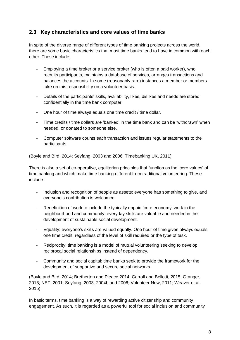#### <span id="page-7-0"></span>**2.3 Key characteristics and core values of time banks**

In spite of the diverse range of different types of time banking projects across the world, there are some basic characteristics that most time banks tend to have in common with each other. These include:

- Employing a time broker or a service broker (who is often a paid worker), who recruits participants, maintains a database of services, arranges transactions and balances the accounts. In some (reasonably rare) instances a member or members take on this responsibility on a volunteer basis.
- Details of the participants' skills, availability, likes, dislikes and needs are stored confidentially in the time bank computer.
- One hour of time always equals one time credit / time dollar.
- Time credits / time dollars are 'banked' in the time bank and can be 'withdrawn' when needed, or donated to someone else.
- Computer software counts each transaction and issues regular statements to the participants.

(Boyle and Bird, 2014; Seyfang, 2003 and 2006; Timebanking UK, 2011)

There is also a set of co-operative, egalitarian principles that function as the 'core values' of time banking and which make time banking different from traditional volunteering. These include:

- Inclusion and recognition of people as assets: everyone has something to give, and everyone's contribution is welcomed.
- Redefinition of work to include the typically unpaid 'core economy' work in the neighbourhood and community: everyday skills are valuable and needed in the development of sustainable social development.
- Equality: everyone's skills are valued equally. One hour of time given always equals one time credit, regardless of the level of skill required or the type of task.
- Reciprocity: time banking is a model of mutual volunteering seeking to develop reciprocal social relationships instead of dependency.
- Community and social capital: time banks seek to provide the framework for the development of supportive and secure social networks.

(Boyle and Bird, 2014; Bretherton and Pleace 2014; Carroll and Bellotti, 2015; Granger, 2013; NEF, 2001; Seyfang, 2003, 2004b and 2006; Volunteer Now, 2011; Weaver et al, 2015)

In basic terms, time banking is a way of rewarding active citizenship and community engagement. As such, it is regarded as a powerful tool for social inclusion and community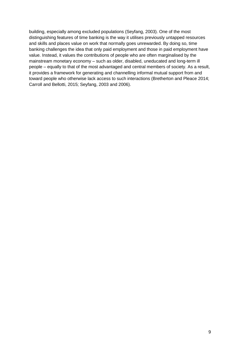building, especially among excluded populations (Seyfang, 2003). One of the most distinguishing features of time banking is the way it utilises previously untapped resources and skills and places value on work that normally goes unrewarded. By doing so, time banking challenges the idea that only paid employment and those in paid employment have value. Instead, it values the contributions of people who are often marginalised by the mainstream monetary economy – such as older, disabled, uneducated and long-term ill people – equally to that of the most advantaged and central members of society. As a result, it provides a framework for generating and channelling informal mutual support from and toward people who otherwise lack access to such interactions (Bretherton and Pleace 2014; Carroll and Bellotti, 2015; Seyfang, 2003 and 2006).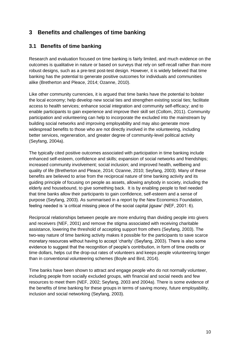## <span id="page-9-0"></span>**3 Benefits and challenges of time banking**

#### <span id="page-9-1"></span>**3.1 Benefits of time banking**

Research and evaluation focused on time banking is fairly limited, and much evidence on the outcomes is qualitative in nature or based on surveys that rely on self-recall rather than more robust designs, such as a pre-test post-test design. However, it is widely believed that time banking has the potential to generate positive outcomes for individuals and communities alike (Bretherton and Pleace, 2014; Ozanne, 2010).

Like other community currencies, it is argued that time banks have the potential to bolster the local economy; help develop new social ties and strengthen existing social ties; facilitate access to health services; enhance social integration and community self-efficacy; and to enable participants to gain experience and improve their skill set (Collom, 2011). Community participation and volunteering can help to incorporate the excluded into the mainstream by building social networks and improving employability and may also generate more widespread benefits to those who are not directly involved in the volunteering, including better services, regeneration, and greater degree of community-level political activity (Seyfang, 2004a).

The typically cited positive outcomes associated with participation in time banking include enhanced self-esteem, confidence and skills; expansion of social networks and friendships; increased community involvement; social inclusion; and improved health, wellbeing and quality of life (Bretherton and Pleace, 2014; Ozanne, 2010; Seyfang, 2003). Many of these benefits are believed to arise from the reciprocal nature of time banking activity and its guiding principle of focusing on people as assets, allowing anybody in society, including the elderly and housebound, to give something back. It is by enabling people to feel needed that time banks allow their participants to gain confidence, self-esteem and a sense of purpose (Seyfang, 2003). As summarised in a report by the New Economics Foundation, feeling needed is 'a critical missing piece of the social capital jigsaw' (NEF, 2001: 6).

Reciprocal relationships between people are more enduring than dividing people into givers and receivers (NEF, 2001) and remove the stigma associated with receiving charitable assistance, lowering the threshold of accepting support from others (Seyfang, 2003). The two-way nature of time banking activity makes it possible for the participants to save scarce monetary resources without having to accept 'charity' (Seyfang, 2003). There is also some evidence to suggest that the recognition of people's contribution, in form of time credits or time dollars, helps cut the drop-out rates of volunteers and keeps people volunteering longer than in conventional volunteering schemes (Boyle and Bird, 2014).

Time banks have been shown to attract and engage people who do not normally volunteer, including people from socially excluded groups, with financial and social needs and few resources to meet them (NEF, 2002; Seyfang, 2003 and 2004a). There is some evidence of the benefits of time banking for these groups in terms of saving money, future employability, inclusion and social networking (Seyfang, 2003).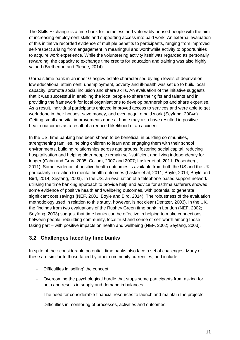The Skills Exchange is a time bank for homeless and vulnerably housed people with the aim of increasing employment skills and supporting access into paid work. An external evaluation of this initiative recorded evidence of multiple benefits to participants, ranging from improved self-respect arising from engagement in meaningful and worthwhile activity to opportunities to acquire work experience. While the volunteering activity itself was regarded as personally rewarding, the capacity to exchange time credits for education and training was also highly valued (Bretherton and Pleace, 2014).

Gorbals time bank in an inner Glasgow estate characterised by high levels of deprivation, low educational attainment, unemployment, poverty and ill-health was set up to build local capacity, promote social inclusion and share skills. An evaluation of the initiative suggests that it was successful in enabling the local people to share their gifts and talents and in providing the framework for local organisations to develop partnerships and share expertise. As a result, individual participants enjoyed improved access to services and were able to get work done in their houses, save money, and even acquire paid work (Seyfang, 2004a). Getting small and vital improvements done at home may also have resulted in positive health outcomes as a result of a reduced likelihood of an accident.

In the US, time banking has been shown to be beneficial in building communities, strengthening families, helping children to learn and engaging them with their school environments, building relationships across age groups, fostering social capital, reducing hospitalisation and helping older people remain self-sufficient and living independently for longer (Cahn and Gray, 2005; Collom, 2007 and 2007; Lasker et al, 2011; Rosenberg, 2011). Some evidence of positive health outcomes is available from both the US and the UK, particularly in relation to mental health outcomes (Lasker et al, 2011; Boyle, 2014; Boyle and Bird, 2014; Seyfang, 2003). In the US, an evaluation of a telephone-based support network utilising the time banking approach to provide help and advice for asthma sufferers showed some evidence of positive health and wellbeing outcomes, with potential to generate significant cost savings (NEF, 2001; Boyle and Bird, 2014). The robustness of the evaluation methodology used in relation to this study, however, is not clear (Dentzer, 2003). In the UK, the findings from two evaluations of the Rushey Green time bank in London (NEF, 2002; Seyfang, 2003) suggest that time banks can be effective in helping to make connections between people, rebuilding community, local trust and sense of self-worth among those taking part – with positive impacts on health and wellbeing (NEF, 2002; Seyfang, 2003).

#### <span id="page-10-0"></span>**3.2 Challenges faced by time banks**

In spite of their considerable potential, time banks also face a set of challenges. Many of these are similar to those faced by other community currencies, and include:

- Difficulties in 'selling' the concept.
- Overcoming the psychological hurdle that stops some participants from asking for help and results in supply and demand imbalances.
- The need for considerable financial resources to launch and maintain the projects.
- Difficulties in monitoring of processes, activities and outcomes.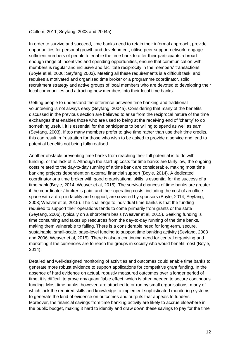#### (Collom, 2011; Seyfang, 2003 and 2004a)

In order to survive and succeed, time banks need to retain their informal approach, provide opportunities for personal growth and development, utilise peer support network, engage sufficient numbers of people to enable the time bank to offer their participants a broad enough range of incentives and spending opportunities, ensure that communication with members is regular and inclusive and facilitate reciprocity in the members' transactions (Boyle et al, 2006; Seyfang 2003). Meeting all these requirements is a difficult task, and requires a motivated and organised time broker or a programme coordinator, solid recruitment strategy and active groups of local members who are devoted to developing their local communities and attracting new members into their local time banks.

Getting people to understand the difference between time banking and traditional volunteering is not always easy (Seyfang, 2004a). Considering that many of the benefits discussed in the previous section are believed to arise from the reciprocal nature of the time exchanges that enables those who are used to being at the receiving end of 'charity' to do something useful, it is essential for the participants to be willing to spend as well as earn (Seyfang, 2003). If too many members prefer to give time rather than use their time credits, this can result in frustration for those who wish to be asked to provide a service and lead to potential benefits not being fully realised.

Another obstacle preventing time banks from reaching their full potential is to do with funding, or the lack of it. Although the start-up costs for time banks are fairly low, the ongoing costs related to the day-to-day running of a time bank are considerable, making most time banking projects dependent on external financial support (Boyle, 2014). A dedicated coordinator or a time broker with good organisational skills is essential for the success of a time bank (Boyle, 2014; Weaver et al, 2015). The survival chances of time banks are greater if the coordinator / broker is paid, and their operating costs, including the cost of an office space with a drop-in facility and support, are covered by sponsors (Boyle, 2014; Seyfang, 2003; Weaver et al, 2015). The challenge to individual time banks is that the funding required to support their operations tends to come primarily from grants or the state (Seyfang, 2006), typically on a short-term basis (Weaver et al, 2015). Seeking funding is time consuming and takes up resources from the day-to-day running of the time banks, making them vulnerable to failing. There is a considerable need for long-term, secure, sustainable, small-scale, base-level funding to support time banking activity (Seyfang, 2003 and 2006; Weaver et al, 2015). There is also a continuing need for central organising and marketing if the currencies are to reach the groups in society who would benefit most (Boyle, 2014).

Detailed and well-designed monitoring of activities and outcomes could enable time banks to generate more robust evidence to support applications for competitive grant funding. In the absence of hard evidence on actual, robustly measured outcomes over a longer period of time, it is difficult to prove any quantifiable effect, which is often needed to secure continuous funding. Most time banks, however, are attached to or run by small organisations, many of which lack the required skills and knowledge to implement sophisticated monitoring systems to generate the kind of evidence on outcomes and outputs that appeals to funders. Moreover, the financial savings from time banking activity are likely to accrue elsewhere in the public budget, making it hard to identify and draw down these savings to pay for the time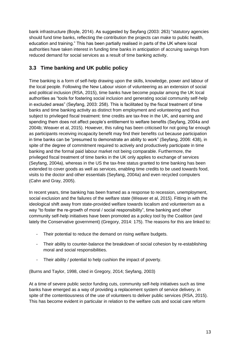bank infrastructure (Boyle, 2014). As suggested by Seyfang (2003: 263) "statutory agencies should fund time banks, reflecting the contribution the projects can make to public health, education and training." This has been partially realised in parts of the UK where local authorities have taken interest in funding time banks in anticipation of accruing savings from reduced demand for social services as a result of time banking activity.

## <span id="page-12-0"></span>**3.3 Time banking and UK public policy**

Time banking is a form of self-help drawing upon the skills, knowledge, power and labour of the local people. Following the New Labour vision of volunteering as an extension of social and political inclusion (RSA, 2015), time banks have become popular among the UK local authorities as "tools for fostering social inclusion and generating social community self-help in excluded areas" (Seyfang, 2003: 258). This is facilitated by the fiscal treatment of time banks and time banking activity as distinct from employment and volunteering and thus subject to privileged fiscal treatment: time credits are tax-free in the UK, and earning and spending them does not affect people's entitlement to welfare benefits (Seyfang, 2004a and 2004b; Weaver et al, 2015). However, this ruling has been criticised for not going far enough as participants receiving incapacity benefit may find their benefits cut because participation in time banks can be "presumed to demonstrate an ability to work" (Seyfang, 2006: 438), in spite of the degree of commitment required to actively and productively participate in time banking and the formal paid labour market not being comparable. Furthermore, the privileged fiscal treatment of time banks in the UK only applies to exchange of services (Seyfang, 2004a), whereas in the US the tax-free status granted to time banking has been extended to cover goods as well as services, enabling time credits to be used towards food, visits to the doctor and other essentials (Seyfang, 2004a) and even recycled computers (Cahn and Gray, 2005).

In recent years, time banking has been framed as a response to recession, unemployment, social exclusion and the failures of the welfare state (Weaver et al, 2015). Fitting in with the ideological shift away from state-provided welfare towards localism and volunteerism as a way "to foster the re-growth of moral / social responsibility", time banking and other community self-help initiatives have been promoted as a policy tool by the Coalition (and lately the Conservative government) (Gregory, 2014: 175). The reasons for this are linked to:

- Their potential to reduce the demand on rising welfare budgets.
- Their ability to counter-balance the breakdown of social cohesion by re-establishing moral and social responsibilities.
- Their ability / potential to help cushion the impact of poverty.

(Burns and Taylor, 1998, cited in Gregory, 2014; Seyfang, 2003)

At a time of severe public sector funding cuts, community self-help initiatives such as time banks have emerged as a way of providing a replacement system of service delivery, in spite of the contentiousness of the use of volunteers to deliver public services (RSA, 2015). This has become evident in particular in relation to the welfare cuts and social care reform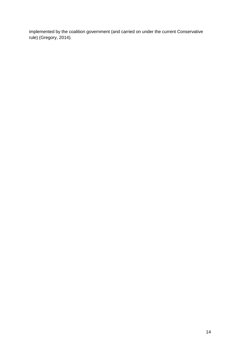implemented by the coalition government (and carried on under the current Conservative rule) (Gregory, 2014).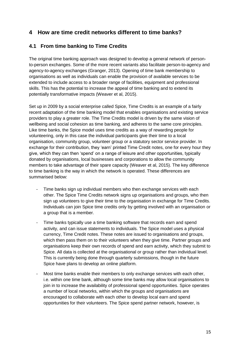## <span id="page-14-0"></span>**4 How are time credit networks different to time banks?**

## <span id="page-14-1"></span>**4.1 From time banking to Time Credits**

The original time banking approach was designed to develop a general network of personto-person exchanges. Some of the more recent variants also facilitate person-to-agency and agency-to-agency exchanges (Granger, 2013). Opening of time bank membership to organisations as well as individuals can enable the provision of available services to be extended to include access to a broader range of facilities, equipment and professional skills. This has the potential to increase the appeal of time banking and to extend its potentially transformative impacts (Weaver et al, 2015).

Set up in 2009 by a social enterprise called Spice, Time Credits is an example of a fairly recent adaptation of the time banking model that enables organisations and existing service providers to play a greater role. The Time Credits model is driven by the same vision of wellbeing and social cohesion as time banking, and adheres to the same core principles. Like time banks, the Spice model uses time credits as a way of rewarding people for volunteering, only in this case the individual participants give their time to a local organisation, community group, volunteer group or a statutory sector service provider. In exchange for their contribution, they 'earn' printed Time Credit notes, one for every hour they give, which they can then 'spend' on a range of leisure and other opportunities, typically donated by organisations, local businesses and corporations to allow the community members to take advantage of their spare capacity (Weaver et al, 2015). The key difference to time banking is the way in which the network is operated. These differences are summarised below:

- Time banks sign up individual members who then exchange services with each other. The Spice Time Credits network signs up organisations and groups, who then sign up volunteers to give their time to the organisation in exchange for Time Credits. Individuals can join Spice time credits only by getting involved with an organisation or a group that is a member.
- Time banks typically use a time banking software that records earn and spend activity, and can issue statements to individuals. The Spice model uses a physical currency, Time Credit notes. These notes are issued to organisations and groups, which then pass them on to their volunteers when they give time. Partner groups and organisations keep their own records of spend and earn activity, which they submit to Spice. All data is collected at the organisational or group rather than individual level. This is currently being done through quarterly submissions, though in the future Spice have plans to develop an online platform.
- Most time banks enable their members to only exchange services with each other, i.e. within one time bank, although some time banks may allow local organisations to join in to increase the availability of professional spend opportunities. Spice operates a number of local networks, within which the groups and organisations are encouraged to collaborate with each other to develop local earn and spend opportunities for their volunteers. The Spice spend partner network, however, is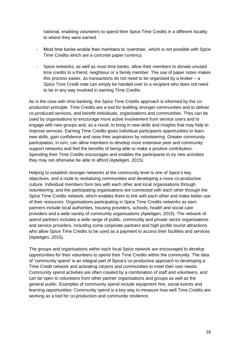national, enabling volunteers to spend their Spice Time Credits in a different locality to where they were earned.

- Most time banks enable their members to 'overdraw', which is not possible with Spice Time Credits which are a concrete paper currency.
- Spice networks, as well as most time banks, allow their members to donate unused time credits to a friend, neighbour or a family member. The use of paper notes makes this process easier, as transactions do not need to be organised by a broker – a Spice Time Credit note can simply be handed over to a recipient who does not need to be in any way involved in earning Time Credits.

As is the case with time banking, the Spice Time Credits approach is informed by the coproduction principle. Time Credits are a tool for building stronger communities and to deliver co-produced services, and benefit individuals, organisations and communities. They can be used by organisations to encourage more active involvement from service users and to engage with new groups and, as a result, to bring in new skills and insights that may help to improve services. Earning Time Credits gives individual participants opportunities to learn new skills, gain confidence and raise their aspirations by volunteering. Greater community participation, in turn, can allow members to develop more extensive peer and community support networks and feel the benefits of being able to make a positive contribution. Spending their Time Credits encourages and enables the participants to try new activities they may not otherwise be able to afford (Apteligen, 2015).

Helping to establish stronger networks at the community level is one of Spice's key objectives, and a route to revitalising communities and developing a more co-productive culture. Individual members form ties with each other and local organisations through volunteering, and the participating organisations are connected with each other through the Spice Time Credits network, which enables them to link with each other and make better use of their resources. Organisations participating in Spice Time Credits networks as earn partners include local authorities, housing providers, schools, health and social care providers and a wide variety of community organisations (Apteligen, 2015). The network of spend partners includes a wide range of public, community and private sector organisations and service providers, including some corporate partners and high profile tourist attractions who allow Spice Time Credits to be used as a payment to access their facilities and services (Apteligen, 2015).

The groups and organisations within each local Spice network are encouraged to develop opportunities for their volunteers to spend their Time Credits within the community. The idea of 'community spend' is an integral part of Spice's co-productive approach to developing a Time Credit network and activating citizens and communities to meet their own needs. Community spend activities are often created by a combination of staff and volunteers, and can be open to volunteers from other partner organisations and groups as well as the general public. Examples of community spend include equipment hire, social events and learning opportunities. Community spend is a key way to measure how well Time Credits are working as a tool for co-production and community resilience.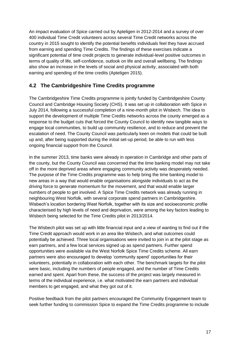An impact evaluation of Spice carried out by Apteligen in 2012-2014 and a survey of over 400 individual Time Credit volunteers across several Time Credit networks across the country in 2015 sought to identify the potential benefits individuals feel they have accrued from earning and spending Time Credits. The findings of these exercises indicate a significant potential of time credit projects to generate individual-level positive outcomes in terms of quality of life, self-confidence, outlook on life and overall wellbeing. The findings also show an increase in the levels of social and physical activity, associated with both earning and spending of the time credits (Apteligen 2015).

#### <span id="page-16-0"></span>**4.2 The Cambridgeshire Time Credits programme**

The Cambridgeshire Time Credits programme is jointly funded by Cambridgeshire County Council and Cambridge Housing Society (CHS). It was set up in collaboration with Spice in July 2014, following a successful completion of a nine-month pilot in Wisbech. The idea to support the development of multiple Time Credits networks across the county emerged as a response to the budget cuts that forced the County Council to identify new tangible ways to engage local communities, to build up community resilience, and to reduce and prevent the escalation of need. The County Council was particularly keen on models that could be built up and, after being supported during the initial set-up period, be able to run with less ongoing financial support from the Council.

In the summer 2013, time banks were already in operation in Cambridge and other parts of the county, but the County Council was concerned that the time banking model may not take off in the more deprived areas where engaging community activity was desperately needed. The purpose of the Time Credits programme was to help bring the time banking model to new areas in a way that would enable organisations alongside individuals to act as the driving force to generate momentum for the movement, and that would enable larger numbers of people to get involved. A Spice Time Credits network was already running in neighbouring West Norfolk, with several corporate spend partners in Cambridgeshire. Wisbech's location bordering West Norfolk, together with its size and socioeconomic profile characterised by high levels of need and deprivation, were among the key factors leading to Wisbech being selected for the Time Credits pilot in 2013/2014.

The Wisbech pilot was set up with little financial input and a view of wanting to find out if the Time Credit approach would work in an area like Wisbech, and what outcomes could potentially be achieved. Three local organisations were invited to join in at the pilot stage as earn partners, and a few local services signed up as spend partners. Further spend opportunities were available via the West Norfolk Spice Time Credits scheme. All earn partners were also encouraged to develop 'community spend' opportunities for their volunteers, potentially in collaboration with each other. The benchmark targets for the pilot were basic, including the numbers of people engaged, and the number of Time Credits earned and spent. Apart from these, the success of the project was largely measured in terms of the individual experience, i.e. what motivated the earn partners and individual members to get engaged, and what they got out of it.

Positive feedback from the pilot partners encouraged the Community Engagement team to seek further funding to commission Spice to expand the Time Credits programme to include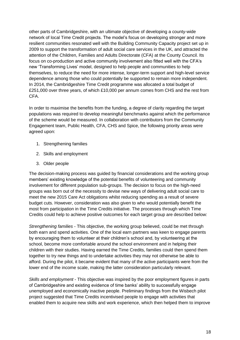other parts of Cambridgeshire, with an ultimate objective of developing a county-wide network of local Time Credit projects. The model's focus on developing stronger and more resilient communities resonated well with the Building Community Capacity project set up in 2009 to support the transformation of adult social care services in the UK, and attracted the attention of the Children, Families and Adults Directorate (CFA) at the County Council. Its focus on co-production and active community involvement also fitted well with the CFA's new 'Transforming Lives' model, designed to help people and communities to help themselves, to reduce the need for more intense, longer-term support and high-level service dependence among those who could potentially be supported to remain more independent. In 2014, the Cambridgeshire Time Credit programme was allocated a total budget of £251,000 over three years, of which £10,000 per annum comes from CHS and the rest from CFA.

In order to maximise the benefits from the funding, a degree of clarity regarding the target populations was required to develop meaningful benchmarks against which the performance of the scheme would be measured. In collaboration with contributors from the Community Engagement team, Public Health, CFA, CHS and Spice, the following priority areas were agreed upon:

- 1. Strengthening families
- 2. Skills and employment
- 3. Older people

The decision-making process was guided by financial considerations and the working group members' existing knowledge of the potential benefits of volunteering and community involvement for different population sub-groups. The decision to focus on the high-need groups was born out of the necessity to devise new ways of delivering adult social care to meet the new 2015 Care Act obligations whilst reducing spending as a result of severe budget cuts. However, consideration was also given to who would potentially benefit the most from participation in the Time Credits initiative. The processes through which Time Credits could help to achieve positive outcomes for each target group are described below:

*Strengthening families* - This objective, the working group believed, could be met through both earn and spend activities. One of the local earn partners was keen to engage parents by encouraging them to volunteer at their children's school and, by volunteering at the school, become more comfortable around the school environment and in helping their children with their studies. Having earned the Time Credits, families could then spend them together to try new things and to undertake activities they may not otherwise be able to afford. During the pilot, it became evident that many of the active participants were from the lower end of the income scale, making the latter consideration particularly relevant.

*Skills and employment* - This objective was inspired by the poor employment figures in parts of Cambridgeshire and existing evidence of time banks' ability to successfully engage unemployed and economically inactive people. Preliminary findings from the Wisbech pilot project suggested that Time Credits incentivised people to engage with activities that enabled them to acquire new skills and work experience, which then helped them to improve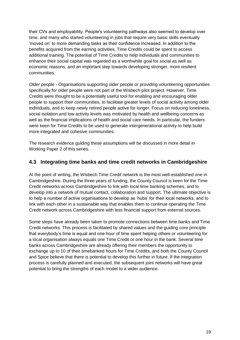their CVs and employability. People's volunteering pathways also seemed to develop over time, and many who started volunteering in jobs that require very basic skills eventually 'moved on' to more demanding tasks as their confidence increased. In addition to the benefits acquired from the earning activities, Time Credits could be spent to access additional training. The potential of Time Credits to help individuals and communities to enhance their social capital was regarded as a worthwhile goal for social as well as economic reasons, and an important step towards developing stronger, more resilient communities.

*Older people -* Organisations supporting older people or providing volunteering opportunities specifically for older people were not part of the Wisbech pilot project. However, Time Credits were thought to be a potentially useful tool for enabling and encouraging older people to support their communities, to facilitate greater levels of social activity among older individuals, and to keep newly retired people active for longer. Focus on reducing loneliness, social isolation and low activity levels was motivated by health and wellbeing concerns as well as the financial implications of health and social care needs. In particular, the funders were keen for Time Credits to be used to generate intergenerational activity to help build more integrated and cohesive communities.

The research evidence guiding these assumptions will be discussed in more detail in Working Paper 2 of this series.

#### <span id="page-18-0"></span>**4.3 Integrating time banks and time credit networks in Cambridgeshire**

At the point of writing, the Wisbech Time Credit network is the most well-established one in Cambridgeshire. During the three years of funding, the County Council is keen for the Time Credit networks across Cambridgeshire to link with local time banking schemes, and to develop into a network of mutual contact, collaboration and support. The ultimate objective is to help a number of active organisations to develop as 'hubs' for their local networks, and to link with each other in a sustainable way that enables them to continue operating the Time Credit network across Cambridgeshire with less financial support from external sources.

Some steps have already been taken to promote connections between time banks and Time Credit networks. This process is facilitated by shared values and the guiding core principle that everybody's time is equal and one hour of time spent helping others or volunteering for a local organisation always equals one Time Credit or one hour in the bank. Several time banks across Cambridgeshire are already offering their members the opportunity to exchange up to 10 of their timebanked hours for Time Credits, and both the County Council and Spice believe that there is potential to develop this further in future. If the integration process is carefully planned and executed, the subsequent joint networks will have great potential to bring the strengths of each model to a wider audience.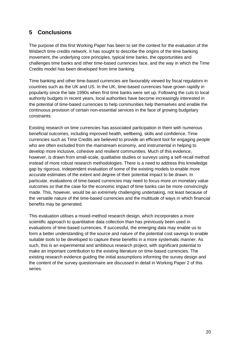# <span id="page-19-0"></span>**5 Conclusions**

The purpose of this first Working Paper has been to set the context for the evaluation of the Wisbech time credits network. It has sought to describe the origins of the time banking movement, the underlying core principles, typical time banks, the opportunities and challenges time banks and other time-based currencies face, and the way in which the Time Credits model has been developed from time banking.

Time banking and other time-based currencies are favourably viewed by fiscal regulators in countries such as the UK and US. In the UK, time-based currencies have grown rapidly in popularity since the late 1990s when first time banks were set up. Following the cuts to local authority budgets in recent years, local authorities have become increasingly interested in the potential of time-based currencies to help communities help themselves and enable the continuous provision of certain non-essential services in the face of growing budgetary constraints.

Existing research on time currencies has associated participation in them with numerous beneficial outcomes, including improved health, wellbeing, skills and confidence. Time currencies such as Time Credits are believed to provide an efficient tool for engaging people who are often excluded from the mainstream economy, and instrumental in helping to develop more inclusive, cohesive and resilient communities. Much of this evidence, however, is drawn from small-scale, qualitative studies or surveys using a self-recall method instead of more robust research methodologies. There is a need to address this knowledge gap by rigorous, independent evaluation of some of the existing models to enable more accurate estimates of the extent and degree of their potential impact to be drawn. In particular, evaluations of time-based currencies may need to focus more on monetary value outcomes so that the case for the economic impact of time banks can be more convincingly made. This, however, would be an extremely challenging undertaking, not least because of the versatile nature of the time-based currencies and the multitude of ways in which financial benefits may be generated.

This evaluation utilises a mixed-method research design, which incorporates a more scientific approach to quantitative data collection than has previously been used in evaluations of time-based currencies. If successful, the emerging data may enable us to form a better understanding of the source and nature of the potential cost savings to enable suitable tools to be developed to capture these benefits in a more systematic manner. As such, this is an experimental and ambitious research project, with significant potential to make an important contribution to the existing literature on time-based currencies. The existing research evidence guiding the initial assumptions informing the survey design and the content of the survey questionnaire are discussed in detail in Working Paper 2 of this series.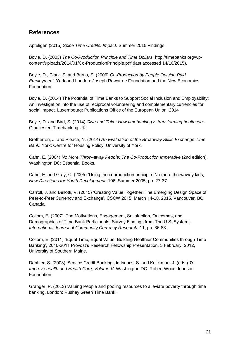## <span id="page-20-0"></span>**References**

Apteligen (2015) *Spice Time Credits: Impact*. Summer 2015 Findings.

Boyle, D. (2003) *The Co-Production Principle and Time Dollars*, http://timebanks.org/wpcontent/uploads/2014/01/Co-ProductionPrinciple.pdf (last accessed 14/10/2015).

Boyle, D., Clark. S. and Burns, S. (2006) *Co-Production by People Outside Paid Employment*. York and London: Joseph Rowntree Foundation and the New Economics Foundation.

Boyle, D. (2014) The Potential of Time Banks to Support Social Inclusion and Employability: An investigation into the use of reciprocal volunteering and complementary currencies for social impact. Luxembourg: Publications Office of the European Union, 2014

Boyle, D. and Bird, S. (2014) *Give and Take: How timebanking is transforming healthcare*. Gloucester: Timebanking UK.

Bretherton, J. and Pleace, N. (2014) *An Evaluation of the Broadway Skills Exchange Time Bank*. York: Centre for Housing Policy, University of York.

Cahn, E. (2004) *No More Throw-away People: The Co-Production Imperative* (2nd edition). Washington DC: Essential Books.

Cahn, E. and Gray, C. (2005) 'Using the coproduction principle: No more throwaway kids, *New Directions for Youth Development*, 106, Summer 2005, pp. 27-37.

Carroll, J. and Bellotti, V. (2015) 'Creating Value Together: The Emerging Design Space of Peer-to-Peer Currency and Exchange', CSCW 2015, March 14-18, 2015, Vancouver, BC, Canada.

Collom, E. (2007) 'The Motivations, Engagement, Satisfaction, Outcomes, and Demographics of Time Bank Participants: Survey Findings from The U.S. System', *International Journal of Community Currency Research*, 11, pp. 36-83.

Collom, E. (2011) 'Equal Time, Equal Value: Building Healthier Communities through Time Banking', 2010-2011 Provost's Research Fellowship Presentation, 3 February, 2012, University of Southern Maine.

Dentzer, S. (2003) 'Service Credit Banking', in Isaacs, S. and Knickman, J. (eds.) *To Improve health and Health Care, Volume V*. Washington DC: Robert Wood Johnson Foundation.

Granger, P. (2013) Valuing People and pooling resources to alleviate poverty through time banking. London: Rushey Green Time Bank.